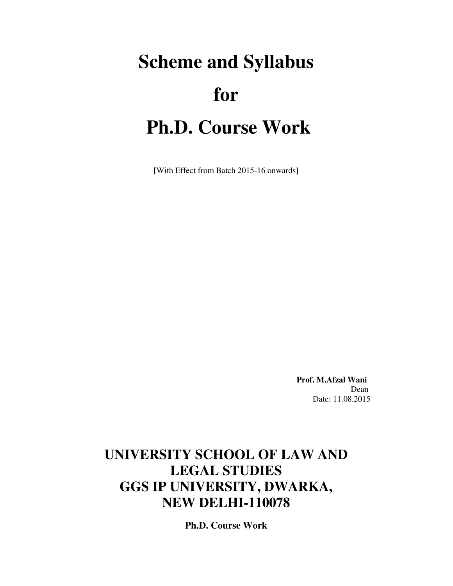# **Scheme and Syllabus for Ph.D. Course Work**

**[**With Effect from Batch 2015-16 onwards]

 **Prof. M.Afzal Wani**  Dean Date: 11.08.2015

# **UNIVERSITY SCHOOL OF LAW AND LEGAL STUDIES GGS IP UNIVERSITY, DWARKA, NEW DELHI-110078**

**Ph.D. Course Work**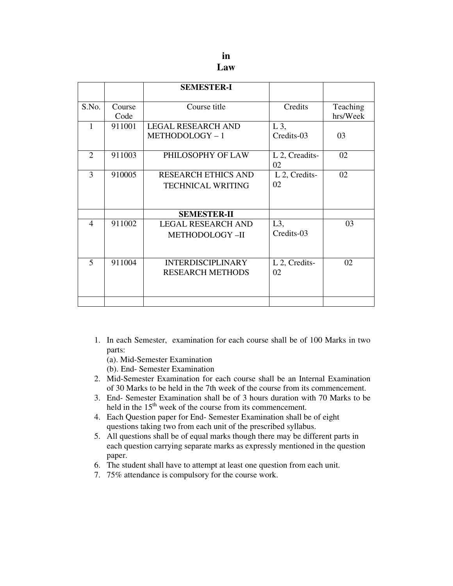|                         |        | <b>SEMESTER-I</b>          |                      |          |
|-------------------------|--------|----------------------------|----------------------|----------|
| S.No.                   | Course | Course title               | Credits              | Teaching |
|                         | Code   |                            |                      | hrs/Week |
| 1                       | 911001 | <b>LEGAL RESEARCH AND</b>  | $L_3$                |          |
|                         |        | METHODOLOGY-1              | Credits-03           | 03       |
| $\overline{2}$          | 911003 | PHILOSOPHY OF LAW          | L 2, Creadits-<br>02 | 02       |
| 3                       | 910005 | <b>RESEARCH ETHICS AND</b> | L 2, Credits-        | 02       |
|                         |        | <b>TECHNICAL WRITING</b>   | 02                   |          |
|                         |        |                            |                      |          |
|                         |        | <b>SEMESTER-II</b>         |                      |          |
| $\overline{4}$          | 911002 | <b>LEGAL RESEARCH AND</b>  | $L3$ ,               | 03       |
|                         |        | METHODOLOGY-II             | Credits-03           |          |
|                         |        |                            |                      |          |
| $\overline{\mathbf{5}}$ | 911004 | <b>INTERDISCIPLINARY</b>   | L 2, Credits-        | 02       |
|                         |        | <b>RESEARCH METHODS</b>    | 02                   |          |
|                         |        |                            |                      |          |
|                         |        |                            |                      |          |

- 1. In each Semester, examination for each course shall be of 100 Marks in two parts:
	- (a). Mid-Semester Examination
	- (b). End- Semester Examination
- 2. Mid-Semester Examination for each course shall be an Internal Examination of 30 Marks to be held in the 7th week of the course from its commencement.
- 3. End- Semester Examination shall be of 3 hours duration with 70 Marks to be held in the  $15<sup>th</sup>$  week of the course from its commencement.
- 4. Each Question paper for End- Semester Examination shall be of eight questions taking two from each unit of the prescribed syllabus.
- 5. All questions shall be of equal marks though there may be different parts in each question carrying separate marks as expressly mentioned in the question paper.
- 6. The student shall have to attempt at least one question from each unit.
- 7. 75% attendance is compulsory for the course work.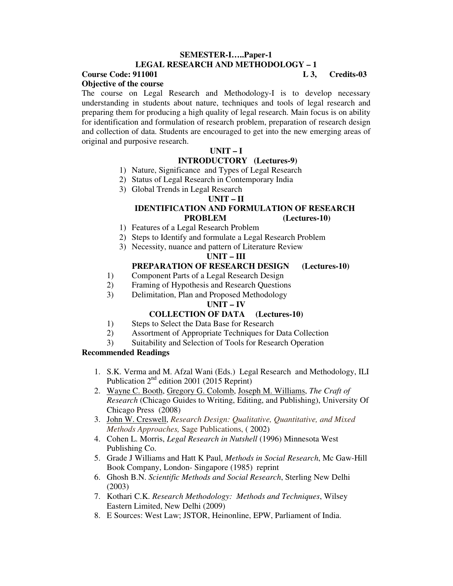#### **SEMESTER-I…..Paper-1 LEGAL RESEARCH AND METHODOLOGY – 1**

# **Course Code: 911001** L 3, Credits-03

**Objective of the course** 

The course on Legal Research and Methodology-I is to develop necessary understanding in students about nature, techniques and tools of legal research and preparing them for producing a high quality of legal research. Main focus is on ability for identification and formulation of research problem, preparation of research design and collection of data. Students are encouraged to get into the new emerging areas of original and purposive research.

# **UNIT – I**

# **INTRODUCTORY (Lectures-9)**

- 1) Nature, Significance and Types of Legal Research
- 2) Status of Legal Research in Contemporary India
- 3) Global Trends in Legal Research

# **UNIT – II**

### **IDENTIFICATION AND FORMULATION OF RESEARCH PROBLEM (Lectures-10)**

- 1) Features of a Legal Research Problem
- 2) Steps to Identify and formulate a Legal Research Problem
- 3) Necessity, nuance and pattern of Literature Review

# **UNIT – III**

# **PREPARATION OF RESEARCH DESIGN (Lectures-10)**

- 1) Component Parts of a Legal Research Design
- 2) Framing of Hypothesis and Research Questions
- 3) Delimitation, Plan and Proposed Methodology

### **UNIT – IV**

# **COLLECTION OF DATA (Lectures-10)**

- 1) Steps to Select the Data Base for Research
- 2) Assortment of Appropriate Techniques for Data Collection
- 3) Suitability and Selection of Tools for Research Operation

### **Recommended Readings**

- 1. S.K. Verma and M. Afzal Wani (Eds.) Legal Research and Methodology, ILI Publication  $2<sup>nd</sup>$  edition 2001 (2015 Reprint)
- 2. Wayne C. Booth, Gregory G. Colomb, Joseph M. Williams, *The Craft of Research* (Chicago Guides to Writing, Editing, and Publishing), University Of Chicago Press (2008)
- 3. John W. Creswell, *Research Design: Qualitative, Quantitative, and Mixed Methods Approaches,* Sage Publications, ( 2002)
- 4. Cohen L. Morris, *Legal Research in Nutshell* (1996) Minnesota West Publishing Co.
- 5. Grade J Williams and Hatt K Paul, *Methods in Social Research*, Mc Gaw-Hill Book Company, London- Singapore (1985) reprint
- 6. Ghosh B.N. *Scientific Methods and Social Research*, Sterling New Delhi (2003)
- 7. Kothari C.K. *Research Methodology: Methods and Techniques*, Wilsey Eastern Limited, New Delhi (2009)
- 8. E Sources: West Law; JSTOR, Heinonline, EPW, Parliament of India.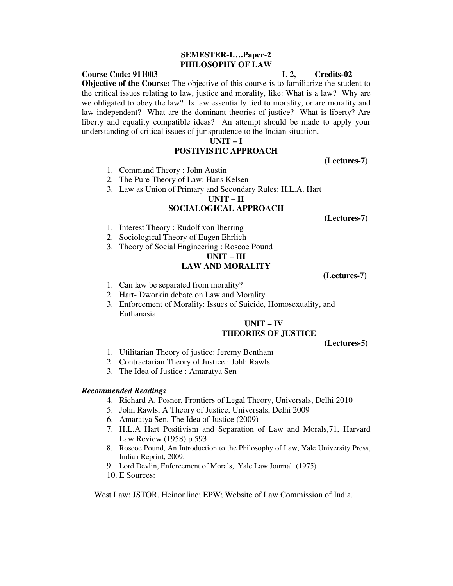#### **SEMESTER-I….Paper-2 PHILOSOPHY OF LAW**

#### **Course Code: 911003 L 2, Credits-02**

**Objective of the Course:** The objective of this course is to familiarize the student to the critical issues relating to law, justice and morality, like: What is a law? Why are we obligated to obey the law? Is law essentially tied to morality, or are morality and law independent? What are the dominant theories of justice? What is liberty? Are liberty and equality compatible ideas? An attempt should be made to apply your understanding of critical issues of jurisprudence to the Indian situation.

#### **UNIT – I**

#### **POSTIVISTIC APPROACH**

 **(Lectures-7)** 

- 1. Command Theory : John Austin
- 2. The Pure Theory of Law: Hans Kelsen
- 3. Law as Union of Primary and Secondary Rules: H.L.A. Hart

**UNIT – II** 

#### **SOCIALOGICAL APPROACH**

 **(Lectures-7)** 

- 1. Interest Theory : Rudolf von Iherring
- 2. Sociological Theory of Eugen Ehrlich
- 3. Theory of Social Engineering : Roscoe Pound

# **UNIT – III LAW AND MORALITY**

 **(Lectures-7)** 

- 1. Can law be separated from morality?
- 2. Hart- Dworkin debate on Law and Morality
- 3. Enforcement of Morality: Issues of Suicide, Homosexuality, and Euthanasia

#### **UNIT – IV THEORIES OF JUSTICE**

 **(Lectures-5)** 

- 1. Utilitarian Theory of justice: Jeremy Bentham
- 2. Contractarian Theory of Justice : Johh Rawls
- 3. The Idea of Justice : Amaratya Sen

#### *Recommended Readings*

- 4. Richard A. Posner, Frontiers of Legal Theory, Universals, Delhi 2010
- 5. John Rawls, A Theory of Justice, Universals, Delhi 2009
- 6. Amaratya Sen, The Idea of Justice (2009)
- 7. H.L.A Hart Positivism and Separation of Law and Morals,71, Harvard Law Review (1958) p.593
- 8. Roscoe Pound, An Introduction to the Philosophy of Law, Yale University Press, Indian Reprint, 2009.
- 9. Lord Devlin, Enforcement of Morals, Yale Law Journal (1975)
- 10. E Sources:

West Law; JSTOR, Heinonline; EPW; Website of Law Commission of India.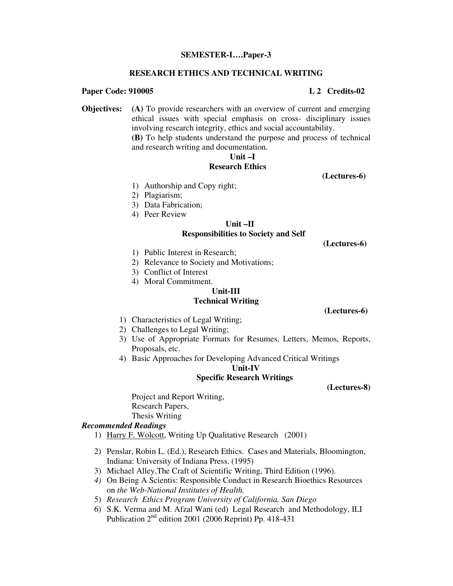#### **SEMESTER-I….Paper-3**

#### **RESEARCH ETHICS AND TECHNICAL WRITING**

#### **Paper Code: 910005 L 2 Credits-02**

**Objectives: (A)** To provide researchers with an overview of current and emerging ethical issues with special emphasis on cross- disciplinary issues involving research integrity, ethics and social accountability. **(B)** To help students understand the purpose and process of technical and research writing and documentation.

# **Unit –I**

#### **Research Ethics**

- 2) Plagiarism;
- 3) Data Fabrication;
- 4) Peer Review

# **Unit –II**

#### **Responsibilities to Society and Self**

 **(Lectures-6)** 

 **(Lectures-6)** 

1) Public Interest in Research;

1) Authorship and Copy right;

- 2) Relevance to Society and Motivations;
- 3) Conflict of Interest
- 4) Moral Commitment.

#### **Unit-III Technical Writing**

1) Characteristics of Legal Writing;

- 2) Challenges to Legal Writing;
- 3) Use of Appropriate Formats for Resumes, Letters, Memos, Reports, Proposals, etc.
- 4) Basic Approaches for Developing Advanced Critical Writings

**Unit-IV** 

#### **Specific Research Writings**

 **(Lectures-8)** 

Project and Report Writing, Research Papers, Thesis Writing

#### *Recommended Readings*

- 1) Harry F. Wolcott, Writing Up Qualitative Research (2001)
- 2) Penslar, Robin L. (Ed.), Research Ethics. Cases and Materials, Bloomington, Indiana: University of Indiana Press. (1995)
- 3) Michael Alley,The Craft of Scientific Writing, Third Edition (1996).
- *4)* On Being A Scientis: Responsible Conduct in Research Bioethics Resources on *the Web-National Institutes of Health.*
- 5) *Research Ethics Program University of California, San Diego*
- 6) S.K. Verma and M. Afzal Wani (ed) Legal Research and Methodology, ILI Publication  $2<sup>nd</sup>$  edition 2001 (2006 Reprint) Pp. 418-431

 **(Lectures-6)**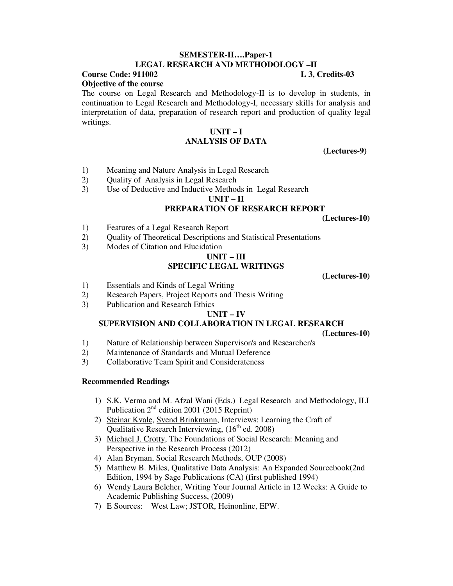#### **SEMESTER-II….Paper-1 LEGAL RESEARCH AND METHODOLOGY –II**

#### **Course Code: 911002 L 3, Credits-03 Objective of the course**

The course on Legal Research and Methodology-II is to develop in students, in continuation to Legal Research and Methodology-I, necessary skills for analysis and interpretation of data, preparation of research report and production of quality legal writings.

#### **UNIT – I ANALYSIS OF DATA**

 **(Lectures-9)** 

- 1) Meaning and Nature Analysis in Legal Research
- 2) Quality of Analysis in Legal Research
- 3) Use of Deductive and Inductive Methods in Legal Research

#### **UNIT – II**

#### **PREPARATION OF RESEARCH REPORT**

 **(Lectures-10)** 

- 1) Features of a Legal Research Report
- 2) Quality of Theoretical Descriptions and Statistical Presentations
- 3) Modes of Citation and Elucidation

#### **UNIT – III SPECIFIC LEGAL WRITINGS**

 **(Lectures-10)** 

- 1) Essentials and Kinds of Legal Writing
- 2) Research Papers, Project Reports and Thesis Writing
- 3) Publication and Research Ethics

#### **UNIT – IV**

# **SUPERVISION AND COLLABORATION IN LEGAL RESEARCH**

 **(Lectures-10)** 

- 1) Nature of Relationship between Supervisor/s and Researcher/s
- 2) Maintenance of Standards and Mutual Deference
- 3) Collaborative Team Spirit and Considerateness

#### **Recommended Readings**

- 1) S.K. Verma and M. Afzal Wani (Eds.) Legal Research and Methodology, ILI Publication  $2<sup>nd</sup>$  edition 2001 (2015 Reprint)
- 2) Steinar Kvale, Svend Brinkmann, Interviews: Learning the Craft of Qualitative Research Interviewing,  $(16<sup>th</sup>$  ed. 2008)
- 3) Michael J. Crotty, The Foundations of Social Research: Meaning and Perspective in the Research Process (2012)
- 4) Alan Bryman, Social Research Methods, OUP (2008)
- 5) Matthew B. Miles, Qualitative Data Analysis: An Expanded Sourcebook(2nd Edition, 1994 by Sage Publications (CA) (first published 1994)
- 6) Wendy Laura Belcher, Writing Your Journal Article in 12 Weeks: A Guide to Academic Publishing Success, (2009)
- 7) E Sources: West Law; JSTOR, Heinonline, EPW.